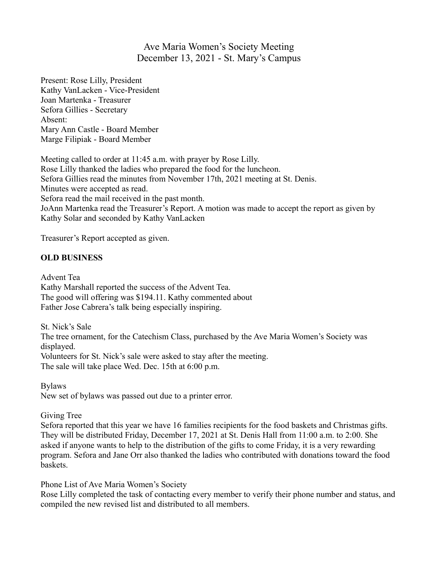## Ave Maria Women's Society Meeting December 13, 2021 - St. Mary's Campus

Present: Rose Lilly, President Kathy VanLacken - Vice-President Joan Martenka - Treasurer Sefora Gillies - Secretary Absent: Mary Ann Castle - Board Member Marge Filipiak - Board Member

Meeting called to order at 11:45 a.m. with prayer by Rose Lilly. Rose Lilly thanked the ladies who prepared the food for the luncheon. Sefora Gillies read the minutes from November 17th, 2021 meeting at St. Denis. Minutes were accepted as read. Sefora read the mail received in the past month. JoAnn Martenka read the Treasurer's Report. A motion was made to accept the report as given by Kathy Solar and seconded by Kathy VanLacken

Treasurer's Report accepted as given.

## **OLD BUSINESS**

Advent Tea Kathy Marshall reported the success of the Advent Tea. The good will offering was \$194.11. Kathy commented about Father Jose Cabrera's talk being especially inspiring.

St. Nick's Sale The tree ornament, for the Catechism Class, purchased by the Ave Maria Women's Society was displayed. Volunteers for St. Nick's sale were asked to stay after the meeting. The sale will take place Wed. Dec. 15th at 6:00 p.m.

Bylaws

New set of bylaws was passed out due to a printer error.

## Giving Tree

Sefora reported that this year we have 16 families recipients for the food baskets and Christmas gifts. They will be distributed Friday, December 17, 2021 at St. Denis Hall from 11:00 a.m. to 2:00. She asked if anyone wants to help to the distribution of the gifts to come Friday, it is a very rewarding program. Sefora and Jane Orr also thanked the ladies who contributed with donations toward the food baskets.

Phone List of Ave Maria Women's Society

Rose Lilly completed the task of contacting every member to verify their phone number and status, and compiled the new revised list and distributed to all members.